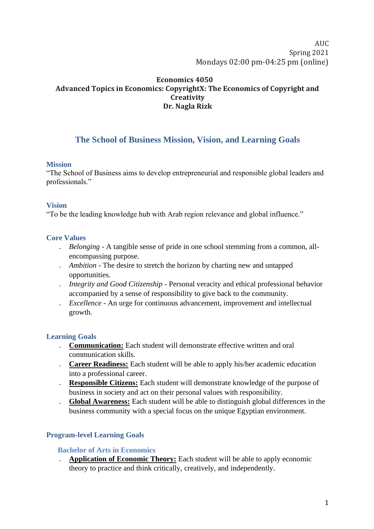AUC Spring 2021 Mondays 02:00 pm-04:25 pm (online)

## **Economics 4050 Advanced Topics in Economics: CopyrightX: The Economics of Copyright and Creativity Dr. Nagla Rizk**

# **The School of Business Mission, Vision, and Learning Goals**

#### **Mission**

"The School of Business aims to develop entrepreneurial and responsible global leaders and professionals."

#### **Vision**

"To be the leading knowledge hub with Arab region relevance and global influence."

### **Core Values**

- *Belonging* A tangible sense of pride in one school stemming from a common, allencompassing purpose.
- *Ambition* The desire to stretch the horizon by charting new and untapped opportunities.
- *Integrity and Good Citizenship* Personal veracity and ethical professional behavior accompanied by a sense of responsibility to give back to the community.
- *Excellence* An urge for continuous advancement, improvement and intellectual growth.

#### **Learning Goals**

- **Communication:** Each student will demonstrate effective written and oral communication skills.
- **Career Readiness:** Each student will be able to apply his/her academic education into a professional career.
- **Responsible Citizens:** Each student will demonstrate knowledge of the purpose of business in society and act on their personal values with responsibility.
- **Global Awareness:** Each student will be able to distinguish global differences in the business community with a special focus on the unique Egyptian environment.

### **Program-level Learning Goals**

#### **Bachelor of Arts in Economics**

**Application of Economic Theory:** Each student will be able to apply economic theory to practice and think critically, creatively, and independently.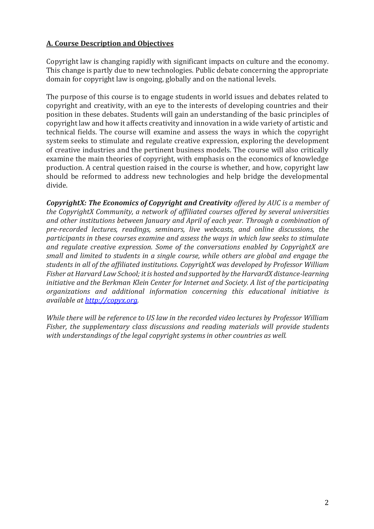### **A. Course Description and Objectives**

Copyright law is changing rapidly with significant impacts on culture and the economy. This change is partly due to new technologies. Public debate concerning the appropriate domain for copyright law is ongoing, globally and on the national levels.

The purpose of this course is to engage students in world issues and debates related to copyright and creativity, with an eye to the interests of developing countries and their position in these debates. Students will gain an understanding of the basic principles of copyright law and how it affects creativity and innovation in a wide variety of artistic and technical fields. The course will examine and assess the ways in which the copyright system seeks to stimulate and regulate creative expression, exploring the development of creative industries and the pertinent business models. The course will also critically examine the main theories of copyright, with emphasis on the economics of knowledge production. A central question raised in the course is whether, and how, copyright law should be reformed to address new technologies and help bridge the developmental divide.

*CopyrightX: The Economics of Copyright and Creativity offered by AUC is a member of the CopyrightX Community, a network of affiliated courses offered by several universities and other institutions between January and April of each year. Through a combination of pre-recorded lectures, readings, seminars, live webcasts, and online discussions, the participants in these courses examine and assess the ways in which law seeks to stimulate and regulate creative expression. Some of the conversations enabled by CopyrightX are small and limited to students in a single course, while others are global and engage the students in all of the affiliated institutions. CopyrightX was developed by Professor William Fisher at Harvard Law School; it is hosted and supported by the HarvardX distance-learning initiative and the Berkman Klein Center for Internet and Society. A list of the participating organizations and additional information concerning this educational initiative is available at [http://copyx.org.](http://copyx.org/)*

*While there will be reference to US law in the recorded video lectures by Professor William Fisher, the supplementary class discussions and reading materials will provide students with understandings of the legal copyright systems in other countries as well.*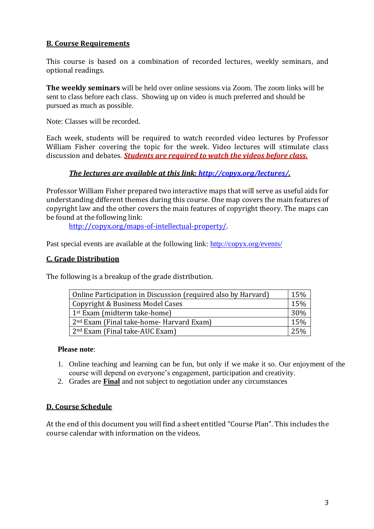### **B. Course Requirements**

This course is based on a combination of recorded lectures, weekly seminars, and optional readings.

**The weekly seminars** will be held over online sessions via Zoom. The zoom links will be sent to class before each class. Showing up on video is much preferred and should be pursued as much as possible.

Note: Classes will be recorded.

Each week, students will be required to watch recorded video lectures by Professor William Fisher covering the topic for the week. Video lectures will stimulate class discussion and debates. *Students are required to watch the videos before class.* 

### *The lectures are available at this link: [http://copyx.org/lectures/.](http://copyx.org/lectures/)*

Professor William Fisher prepared two interactive maps that will serve as useful aids for understanding different themes during this course. One map covers the main features of copyright law and the other covers the main features of copyright theory. The maps can be found at the following link:

[http://copyx.org/maps-of-intellectual-property/.](http://copyx.org/maps-of-intellectual-property/)

Past special events are available at the following link:<http://copyx.org/events/>

### **C. Grade Distribution**

The following is a breakup of the grade distribution.

| Online Participation in Discussion (required also by Harvard) |  |  |
|---------------------------------------------------------------|--|--|
| Copyright & Business Model Cases                              |  |  |
| 1 <sup>st</sup> Exam (midterm take-home)                      |  |  |
| 2 <sup>nd</sup> Exam (Final take-home- Harvard Exam)          |  |  |
| 2 <sup>nd</sup> Exam (Final take-AUC Exam)                    |  |  |

### **Please note**:

- 1. Online teaching and learning can be fun, but only if we make it so. Our enjoyment of the course will depend on everyone's engagement, participation and creativity.
- 2. Grades are **Final** and not subject to negotiation under any circumstances

### **D. Course Schedule**

At the end of this document you will find a sheet entitled "Course Plan". This includes the course calendar with information on the videos.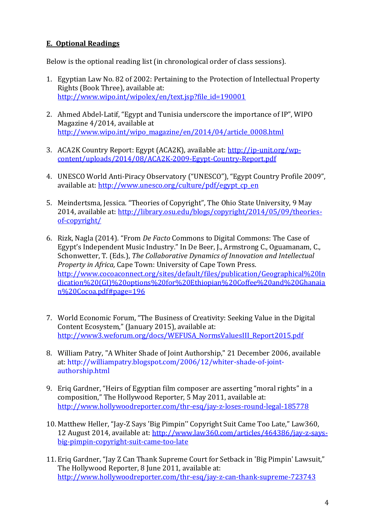# **E. Optional Readings**

Below is the optional reading list (in chronological order of class sessions).

- 1. Egyptian Law No. 82 of 2002: Pertaining to the Protection of Intellectual Property Rights (Book Three), available at: [http://www.wipo.int/wipolex/en/text.jsp?file\\_id=190001](http://www.wipo.int/wipolex/en/text.jsp?file_id=190001)
- 2. Ahmed Abdel-Latif, "Egypt and Tunisia underscore the importance of IP", WIPO Magazine 4/2014, available at [http://www.wipo.int/wipo\\_magazine/en/2014/04/article\\_0008.html](http://www.wipo.int/wipo_magazine/en/2014/04/article_0008.html)
- 3. ACA2K Country Report: Egypt (ACA2K), available at: [http://ip-unit.org/wp](http://ip-unit.org/wp-content/uploads/2014/08/ACA2K-2009-Egypt-Country-Report.pdf)[content/uploads/2014/08/ACA2K-2009-Egypt-Country-Report.pdf](http://ip-unit.org/wp-content/uploads/2014/08/ACA2K-2009-Egypt-Country-Report.pdf)
- 4. UNESCO World Anti-Piracy Observatory ("UNESCO"), "Egypt Country Profile 2009", available at: [http://www.unesco.org/culture/pdf/egypt\\_cp\\_en](http://www.unesco.org/culture/pdf/egypt_cp_en)
- 5. Meindertsma, Jessica. "Theories of Copyright", The Ohio State University, 9 May 2014, available at: [http://library.osu.edu/blogs/copyright/2014/05/09/theories](http://library.osu.edu/blogs/copyright/2014/05/09/theories-of-copyright/)[of-copyright/](http://library.osu.edu/blogs/copyright/2014/05/09/theories-of-copyright/)
- 6. Rizk, Nagla (2014). "From *De Facto* Commons to Digital Commons: The Case of Egypt's Independent Music Industry." In De Beer, J., Armstrong C., Oguamanam, C., Schonwetter, T. (Eds.), *The Collaborative Dynamics of Innovation and Intellectual Property in Africa,* Cape Town: University of Cape Town Press. [http://www.cocoaconnect.org/sites/default/files/publication/Geographical%20In](http://www.cocoaconnect.org/sites/default/files/publication/Geographical%20Indication%20(GI)%20options%20for%20Ethiopian%20Coffee%20and%20Ghanaian%20Cocoa.pdf#page=196) [dication%20\(GI\)%20options%20for%20Ethiopian%20Coffee%20and%20Ghanaia](http://www.cocoaconnect.org/sites/default/files/publication/Geographical%20Indication%20(GI)%20options%20for%20Ethiopian%20Coffee%20and%20Ghanaian%20Cocoa.pdf#page=196) [n%20Cocoa.pdf#page=196](http://www.cocoaconnect.org/sites/default/files/publication/Geographical%20Indication%20(GI)%20options%20for%20Ethiopian%20Coffee%20and%20Ghanaian%20Cocoa.pdf#page=196)
- 7. World Economic Forum, "The Business of Creativity: Seeking Value in the Digital Content Ecosystem," (January 2015), available at: [http://www3.weforum.org/docs/WEFUSA\\_NormsValuesIII\\_Report2015.pdf](http://www3.weforum.org/docs/WEFUSA_NormsValuesIII_Report2015.pdf)
- 8. William Patry, ["A Whiter Shade of Joint Authorship," 21 December 2006,](http://williampatry.blogspot.com/2006/12/whiter-shade-of-joint-authorship.html) available at: [http://williampatry.blogspot.com/2006/12/whiter-shade-of-joint](http://williampatry.blogspot.com/2006/12/whiter-shade-of-joint-authorship.html)[authorship.html](http://williampatry.blogspot.com/2006/12/whiter-shade-of-joint-authorship.html)
- 9. Eriq Gardner, "Heirs of Egyptian film composer are asserting "moral rights" in a composition," The Hollywood Reporter, 5 May 2011, available at: <http://www.hollywoodreporter.com/thr-esq/jay-z-loses-round-legal-185778>
- 10. Matthew Heller, "Jay-Z Says 'Big Pimpin'' Copyright Suit Came Too Late," Law360, 12 August 2014, available at: [http://www.law360.com/articles/464386/jay-z-says](http://www.law360.com/articles/464386/jay-z-says-big-pimpin-copyright-suit-came-too-late)[big-pimpin-copyright-suit-came-too-late](http://www.law360.com/articles/464386/jay-z-says-big-pimpin-copyright-suit-came-too-late)
- 11. Eriq Gardner, "Jay Z Can Thank Supreme Court for Setback in 'Big Pimpin' Lawsuit," The Hollywood Reporter, 8 June 2011, available at: <http://www.hollywoodreporter.com/thr-esq/jay-z-can-thank-supreme-723743>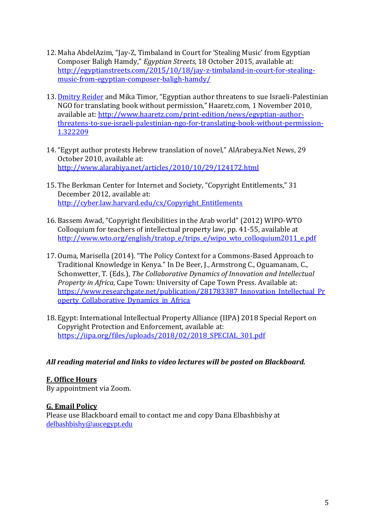- 12. Maha AbdelAzim, "Jay-Z, Timbaland in Court for 'Stealing Music' from Egyptian Composer Baligh Hamdy," *Egyptian Streets*, 18 October 2015, available at: [http://egyptianstreets.com/2015/10/18/jay-z-timbaland-in-court-for-stealing](http://egyptianstreets.com/2015/10/18/jay-z-timbaland-in-court-for-stealing-music-from-egyptian-composer-baligh-hamdy/)[music-from-egyptian-composer-baligh-hamdy/](http://egyptianstreets.com/2015/10/18/jay-z-timbaland-in-court-for-stealing-music-from-egyptian-composer-baligh-hamdy/)
- 13. [Dmitry Reider](http://www.haaretz.com/misc/writers/dmitry-reider-1.362) and Mika Timor, "Egyptian author threatens to sue Israeli-Palestinian NGO for translating book without permission," Haaretz.com, 1 November 2010, available at: [http://www.haaretz.com/print-edition/news/egyptian-author](http://www.haaretz.com/print-edition/news/egyptian-author-threatens-to-sue-israeli-palestinian-ngo-for-translating-book-without-permission-1.322209)[threatens-to-sue-israeli-palestinian-ngo-for-translating-book-without-permission-](http://www.haaretz.com/print-edition/news/egyptian-author-threatens-to-sue-israeli-palestinian-ngo-for-translating-book-without-permission-1.322209)[1.322209](http://www.haaretz.com/print-edition/news/egyptian-author-threatens-to-sue-israeli-palestinian-ngo-for-translating-book-without-permission-1.322209)
- 14."Egypt author protests Hebrew translation of novel," AlArabeya.Net News, 29 October 2010, available at: <http://www.alarabiya.net/articles/2010/10/29/124172.html>
- 15. The Berkman Center for Internet and Society, "Copyright Entitlements," 31 December 2012, available at: [http://cyber.law.harvard.edu/cx/Copyright\\_Entitlements](http://cyber.law.harvard.edu/cx/Copyright_Entitlements)
- 16. Bassem Awad, "Copyright flexibilities in the Arab world" (2012) WIPO-WTO Colloquium for teachers of intellectual property law, pp. 41-55, available at [http://www.wto.org/english/tratop\\_e/trips\\_e/wipo\\_wto\\_colloquium2011\\_e.pdf](http://www.wto.org/english/tratop_e/trips_e/wipo_wto_colloquium2011_e.pdf)
- 17. Ouma, Marisella (2014). "The Policy Context for a Commons-Based Approach to Traditional Knowledge in Kenya." In De Beer, J., Armstrong C., Oguamanam, C., Schonwetter, T. (Eds.), *The Collaborative Dynamics of Innovation and Intellectual Property in Africa,* Cape Town: University of Cape Town Press. Available at: [https://www.researchgate.net/publication/281783387\\_Innovation\\_Intellectual\\_Pr](https://www.researchgate.net/publication/281783387_Innovation_Intellectual_Property_Collaborative_Dynamics_in_Africa) operty Collaborative Dynamics in Africa
- 18. Egypt: International Intellectual Property Alliance (IIPA) 2018 Special Report on Copyright Protection and Enforcement, available at: https://iipa.org/files/uploads/2018/02/2018 SPECIAL 301.pdf

## *All reading material and links to video lectures will be posted on Blackboard.*

## **F. Office Hours**

By appointment via Zoom.

## **G. Email Policy**

Please use Blackboard email to contact me and copy Dana Elbashbishy at [delbashbishy@aucegypt.edu](mailto:nagham@aucegypt.edu)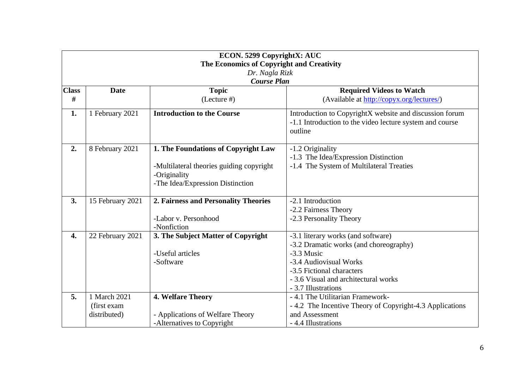| ECON. 5299 CopyrightX: AUC<br>The Economics of Copyright and Creativity<br>Dr. Nagla Rizk<br><b>Course Plan</b> |                                              |                                                                                                                                     |                                                                                                                                                                                                                  |  |  |
|-----------------------------------------------------------------------------------------------------------------|----------------------------------------------|-------------------------------------------------------------------------------------------------------------------------------------|------------------------------------------------------------------------------------------------------------------------------------------------------------------------------------------------------------------|--|--|
| <b>Class</b><br>#                                                                                               | <b>Date</b>                                  | <b>Topic</b><br>$($ Lecture $#$ $)$                                                                                                 | <b>Required Videos to Watch</b><br>(Available at http://copyx.org/lectures/)                                                                                                                                     |  |  |
| 1.                                                                                                              | 1 February 2021                              | <b>Introduction to the Course</b>                                                                                                   | Introduction to CopyrightX website and discussion forum<br>-1.1 Introduction to the video lecture system and course<br>outline                                                                                   |  |  |
| 2.                                                                                                              | 8 February 2021                              | 1. The Foundations of Copyright Law<br>-Multilateral theories guiding copyright<br>-Originality<br>-The Idea/Expression Distinction | -1.2 Originality<br>-1.3 The Idea/Expression Distinction<br>-1.4 The System of Multilateral Treaties                                                                                                             |  |  |
| 3.                                                                                                              | 15 February 2021                             | 2. Fairness and Personality Theories<br>-Labor v. Personhood<br>-Nonfiction                                                         | -2.1 Introduction<br>-2.2 Fairness Theory<br>-2.3 Personality Theory                                                                                                                                             |  |  |
| 4.                                                                                                              | 22 February 2021                             | 3. The Subject Matter of Copyright<br>-Useful articles<br>-Software                                                                 | -3.1 literary works (and software)<br>-3.2 Dramatic works (and choreography)<br>-3.3 Music<br>-3.4 Audiovisual Works<br>-3.5 Fictional characters<br>- 3.6 Visual and architectural works<br>- 3.7 Illustrations |  |  |
| 5.                                                                                                              | 1 March 2021<br>(first exam)<br>distributed) | 4. Welfare Theory<br>- Applications of Welfare Theory<br>-Alternatives to Copyright                                                 | - 4.1 The Utilitarian Framework-<br>-4.2 The Incentive Theory of Copyright-4.3 Applications<br>and Assessment<br>- 4.4 Illustrations                                                                             |  |  |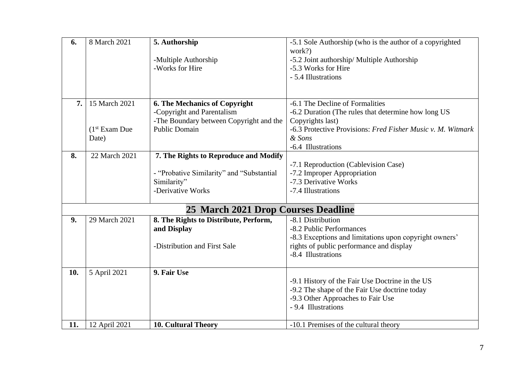| 6.  | 8 March 2021    | 5. Authorship                             | -5.1 Sole Authorship (who is the author of a copyrighted    |
|-----|-----------------|-------------------------------------------|-------------------------------------------------------------|
|     |                 |                                           | work?)                                                      |
|     |                 | -Multiple Authorship                      | -5.2 Joint authorship/ Multiple Authorship                  |
|     |                 | -Works for Hire                           | -5.3 Works for Hire                                         |
|     |                 |                                           | - 5.4 Illustrations                                         |
|     |                 |                                           |                                                             |
| 7.  | 15 March 2021   | <b>6. The Mechanics of Copyright</b>      | -6.1 The Decline of Formalities                             |
|     |                 | -Copyright and Parentalism                | -6.2 Duration (The rules that determine how long US         |
|     |                 | -The Boundary between Copyright and the   | Copyrights last)                                            |
|     | $(1st$ Exam Due | <b>Public Domain</b>                      | -6.3 Protective Provisions: Fred Fisher Music v. M. Witmark |
|     | Date)           |                                           | & Sons                                                      |
|     |                 |                                           | -6.4 Illustrations                                          |
| 8.  | 22 March 2021   | 7. The Rights to Reproduce and Modify     |                                                             |
|     |                 |                                           | -7.1 Reproduction (Cablevision Case)                        |
|     |                 | - "Probative Similarity" and "Substantial | -7.2 Improper Appropriation                                 |
|     |                 | Similarity"                               | -7.3 Derivative Works                                       |
|     |                 | -Derivative Works                         | -7.4 Illustrations                                          |
|     |                 | 25 March 2021 Drop Courses Deadline       |                                                             |
|     |                 |                                           |                                                             |
| 9.  | 29 March 2021   | 8. The Rights to Distribute, Perform,     | -8.1 Distribution                                           |
|     |                 | and Display                               | -8.2 Public Performances                                    |
|     |                 |                                           | -8.3 Exceptions and limitations upon copyright owners'      |
|     |                 | -Distribution and First Sale              | rights of public performance and display                    |
|     |                 |                                           | -8.4 Illustrations                                          |
| 10. | 5 April 2021    | 9. Fair Use                               |                                                             |
|     |                 |                                           | -9.1 History of the Fair Use Doctrine in the US             |
|     |                 |                                           | -9.2 The shape of the Fair Use doctrine today               |
|     |                 |                                           | -9.3 Other Approaches to Fair Use                           |
|     |                 |                                           | - 9.4 Illustrations                                         |
|     |                 |                                           |                                                             |
| 11. | 12 April 2021   | <b>10. Cultural Theory</b>                | -10.1 Premises of the cultural theory                       |